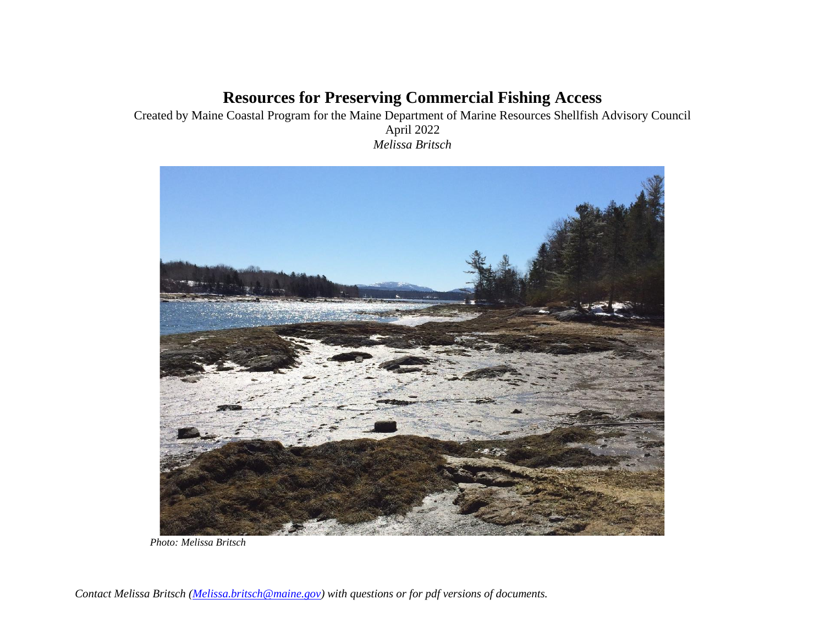## **Resources for Preserving Commercial Fishing Access**

#### Created by Maine Coastal Program for the Maine Department of Marine Resources Shellfish Advisory Council April 2022 *Melissa Britsch*



*Photo: Melissa Britsch*

*Contact Melissa Britsch [\(Melissa.britsch@maine.gov\)](mailto:Melissa.britsch@maine.gov) with questions or for pdf versions of documents.*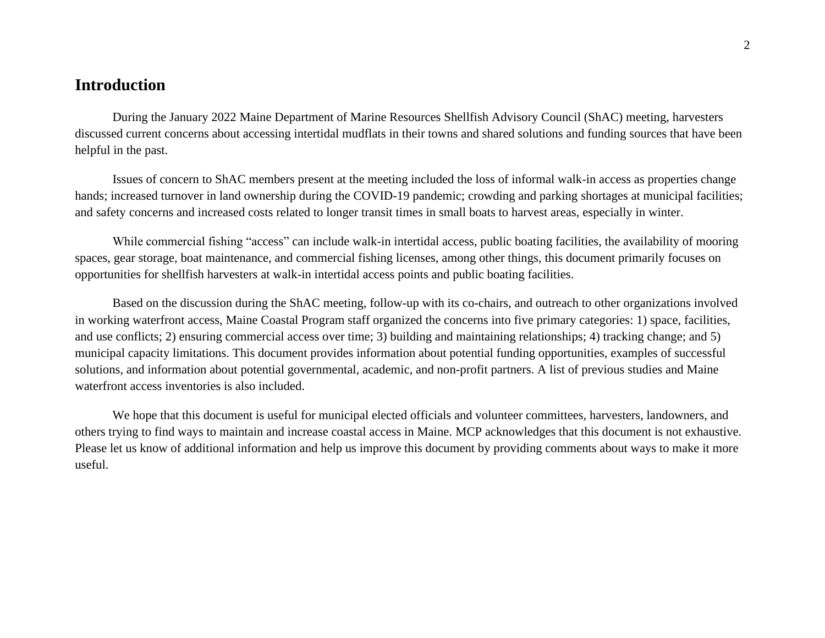#### **Introduction**

During the January 2022 Maine Department of Marine Resources Shellfish Advisory Council (ShAC) meeting, harvesters discussed current concerns about accessing intertidal mudflats in their towns and shared solutions and funding sources that have been helpful in the past.

Issues of concern to ShAC members present at the meeting included the loss of informal walk-in access as properties change hands; increased turnover in land ownership during the COVID-19 pandemic; crowding and parking shortages at municipal facilities; and safety concerns and increased costs related to longer transit times in small boats to harvest areas, especially in winter.

While commercial fishing "access" can include walk-in intertidal access, public boating facilities, the availability of mooring spaces, gear storage, boat maintenance, and commercial fishing licenses, among other things, this document primarily focuses on opportunities for shellfish harvesters at walk-in intertidal access points and public boating facilities.

Based on the discussion during the ShAC meeting, follow-up with its co-chairs, and outreach to other organizations involved in working waterfront access, Maine Coastal Program staff organized the concerns into five primary categories: 1) space, facilities, and use conflicts; 2) ensuring commercial access over time; 3) building and maintaining relationships; 4) tracking change; and 5) municipal capacity limitations. This document provides information about potential funding opportunities, examples of successful solutions, and information about potential governmental, academic, and non-profit partners. A list of previous studies and Maine waterfront access inventories is also included.

We hope that this document is useful for municipal elected officials and volunteer committees, harvesters, landowners, and others trying to find ways to maintain and increase coastal access in Maine. MCP acknowledges that this document is not exhaustive. Please let us know of additional information and help us improve this document by providing comments about ways to make it more useful.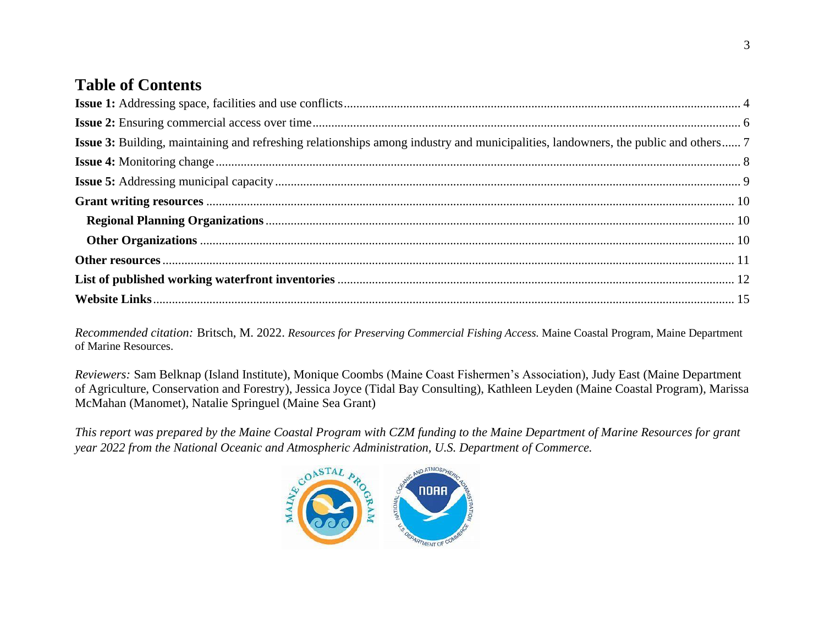#### **Table of Contents**

| <b>Issue 3:</b> Building, maintaining and refreshing relationships among industry and municipalities, landowners, the public and others 7 |  |
|-------------------------------------------------------------------------------------------------------------------------------------------|--|
|                                                                                                                                           |  |
|                                                                                                                                           |  |
|                                                                                                                                           |  |
|                                                                                                                                           |  |
|                                                                                                                                           |  |
|                                                                                                                                           |  |
|                                                                                                                                           |  |
|                                                                                                                                           |  |

*Recommended citation:* Britsch, M. 2022. *Resources for Preserving Commercial Fishing Access.* Maine Coastal Program, Maine Department of Marine Resources.

*Reviewers:* Sam Belknap (Island Institute), Monique Coombs (Maine Coast Fishermen's Association), Judy East (Maine Department of Agriculture, Conservation and Forestry), Jessica Joyce (Tidal Bay Consulting), Kathleen Leyden (Maine Coastal Program), Marissa McMahan (Manomet), Natalie Springuel (Maine Sea Grant)

*This report was prepared by the Maine Coastal Program with CZM funding to the Maine Department of Marine Resources for grant year 2022 from the National Oceanic and Atmospheric Administration, U.S. Department of Commerce.* 

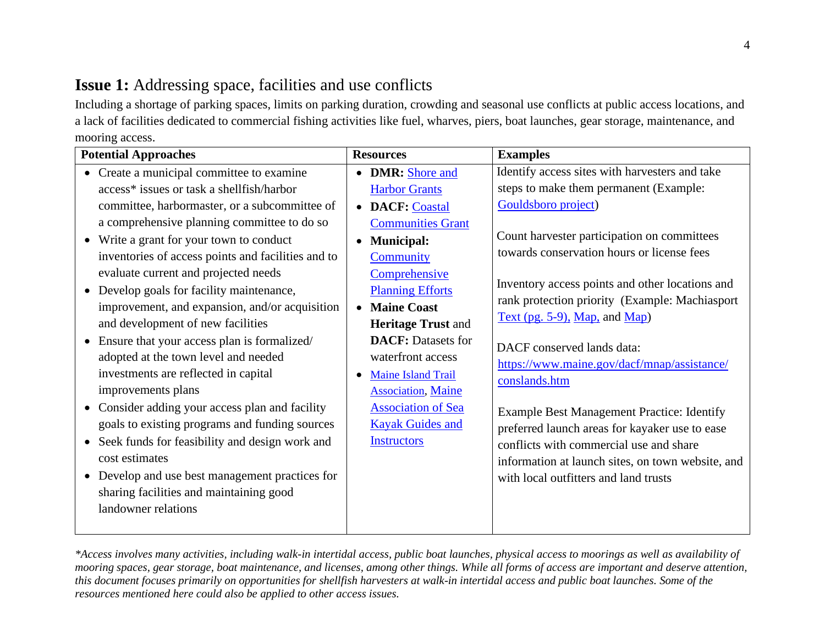### <span id="page-3-0"></span>**Issue 1:** Addressing space, facilities and use conflicts

Including a shortage of parking spaces, limits on parking duration, crowding and seasonal use conflicts at public access locations, and a lack of facilities dedicated to commercial fishing activities like fuel, wharves, piers, boat launches, gear storage, maintenance, and mooring access.

| <b>Potential Approaches</b>                                 | <b>Resources</b>                   | <b>Examples</b>                                   |
|-------------------------------------------------------------|------------------------------------|---------------------------------------------------|
| Create a municipal committee to examine<br>$\bullet$        | <b>DMR:</b> Shore and<br>$\bullet$ | Identify access sites with harvesters and take    |
| access* issues or task a shellfish/harbor                   | <b>Harbor Grants</b>               | steps to make them permanent (Example:            |
| committee, harbormaster, or a subcommittee of               | DACF: Coastal<br>$\bullet$         | Gouldsboro project)                               |
| a comprehensive planning committee to do so                 | <b>Communities Grant</b>           |                                                   |
| • Write a grant for your town to conduct                    | <b>Municipal:</b><br>$\bullet$     | Count harvester participation on committees       |
| inventories of access points and facilities and to          | Community                          | towards conservation hours or license fees        |
| evaluate current and projected needs                        | Comprehensive                      |                                                   |
| Develop goals for facility maintenance,<br>$\bullet$        | <b>Planning Efforts</b>            | Inventory access points and other locations and   |
| improvement, and expansion, and/or acquisition              | <b>Maine Coast</b><br>$\bullet$    | rank protection priority (Example: Machiasport    |
| and development of new facilities                           | <b>Heritage Trust and</b>          | Text (pg. $5-9$ ), Map, and Map)                  |
| Ensure that your access plan is formalized/<br>$\bullet$    | <b>DACF</b> : Datasets for         | DACF conserved lands data:                        |
| adopted at the town level and needed                        | waterfront access                  | https://www.maine.gov/dacf/mnap/assistance/       |
| investments are reflected in capital                        | <b>Maine Island Trail</b><br>٠     | conslands.htm                                     |
| improvements plans                                          | <b>Association</b> , Maine         |                                                   |
| • Consider adding your access plan and facility             | <b>Association of Sea</b>          | <b>Example Best Management Practice: Identify</b> |
| goals to existing programs and funding sources              | <b>Kayak Guides and</b>            | preferred launch areas for kayaker use to ease    |
| Seek funds for feasibility and design work and<br>$\bullet$ | <b>Instructors</b>                 | conflicts with commercial use and share           |
| cost estimates                                              |                                    | information at launch sites, on town website, and |
| Develop and use best management practices for<br>$\bullet$  |                                    | with local outfitters and land trusts             |
| sharing facilities and maintaining good                     |                                    |                                                   |
| landowner relations                                         |                                    |                                                   |
|                                                             |                                    |                                                   |

*\*Access involves many activities, including walk-in intertidal access, public boat launches, physical access to moorings as well as availability of mooring spaces, gear storage, boat maintenance, and licenses, among other things. While all forms of access are important and deserve attention, this document focuses primarily on opportunities for shellfish harvesters at walk-in intertidal access and public boat launches. Some of the resources mentioned here could also be applied to other access issues.*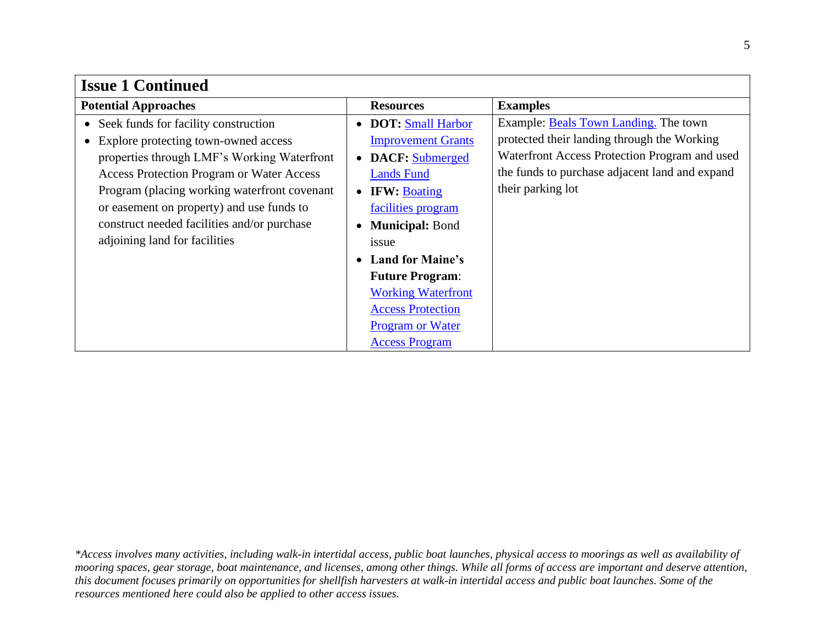| <b>Issue 1 Continued</b>                          |                                       |                                                |
|---------------------------------------------------|---------------------------------------|------------------------------------------------|
| <b>Potential Approaches</b>                       | <b>Resources</b>                      | <b>Examples</b>                                |
| • Seek funds for facility construction            | <b>DOT: Small Harbor</b><br>$\bullet$ | Example: <b>Beals Town Landing</b> . The town  |
| Explore protecting town-owned access<br>$\bullet$ | <b>Improvement Grants</b>             | protected their landing through the Working    |
| properties through LMF's Working Waterfront       | <b>DACF:</b> Submerged<br>$\bullet$   | Waterfront Access Protection Program and used  |
| <b>Access Protection Program or Water Access</b>  | <b>Lands Fund</b>                     | the funds to purchase adjacent land and expand |
| Program (placing working waterfront covenant      | <b>IFW: Boating</b><br>$\bullet$      | their parking lot                              |
| or easement on property) and use funds to         | facilities program                    |                                                |
| construct needed facilities and/or purchase       | <b>Municipal: Bond</b>                |                                                |
| adjoining land for facilities                     | issue                                 |                                                |
|                                                   | <b>Land for Maine's</b><br>$\bullet$  |                                                |
|                                                   | <b>Future Program:</b>                |                                                |
|                                                   | <b>Working Waterfront</b>             |                                                |
|                                                   | <b>Access Protection</b>              |                                                |
|                                                   | <b>Program or Water</b>               |                                                |
|                                                   | <b>Access Program</b>                 |                                                |

*\*Access involves many activities, including walk-in intertidal access, public boat launches, physical access to moorings as well as availability of mooring spaces, gear storage, boat maintenance, and licenses, among other things. While all forms of access are important and deserve attention, this document focuses primarily on opportunities for shellfish harvesters at walk-in intertidal access and public boat launches. Some of the resources mentioned here could also be applied to other access issues.*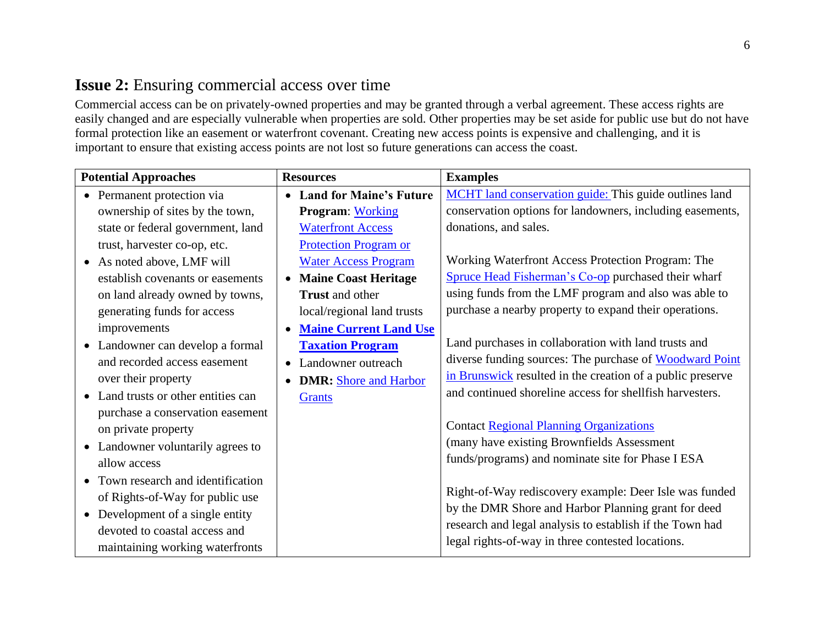### <span id="page-5-0"></span>**Issue 2:** Ensuring commercial access over time

Commercial access can be on privately-owned properties and may be granted through a verbal agreement. These access rights are easily changed and are especially vulnerable when properties are sold. Other properties may be set aside for public use but do not have formal protection like an easement or waterfront covenant. Creating new access points is expensive and challenging, and it is important to ensure that existing access points are not lost so future generations can access the coast.

| <b>Potential Approaches</b>                   | <b>Resources</b>                           | <b>Examples</b>                                            |
|-----------------------------------------------|--------------------------------------------|------------------------------------------------------------|
| • Permanent protection via                    | <b>Land for Maine's Future</b>             | MCHT land conservation guide: This guide outlines land     |
| ownership of sites by the town,               | Program: Working                           | conservation options for landowners, including easements,  |
| state or federal government, land             | <b>Waterfront Access</b>                   | donations, and sales.                                      |
| trust, harvester co-op, etc.                  | <b>Protection Program or</b>               |                                                            |
| • As noted above, LMF will                    | <b>Water Access Program</b>                | Working Waterfront Access Protection Program: The          |
| establish covenants or easements              | <b>Maine Coast Heritage</b><br>$\bullet$   | Spruce Head Fisherman's Co-op purchased their wharf        |
| on land already owned by towns,               | <b>Trust</b> and other                     | using funds from the LMF program and also was able to      |
| generating funds for access                   | local/regional land trusts                 | purchase a nearby property to expand their operations.     |
| improvements                                  | <b>Maine Current Land Use</b><br>$\bullet$ |                                                            |
| Landowner can develop a formal<br>$\bullet$   | <b>Taxation Program</b>                    | Land purchases in collaboration with land trusts and       |
| and recorded access easement                  | Landowner outreach<br>$\bullet$            | diverse funding sources: The purchase of Woodward Point    |
| over their property                           | <b>DMR:</b> Shore and Harbor               | in Brunswick resulted in the creation of a public preserve |
| • Land trusts or other entities can           | <b>Grants</b>                              | and continued shoreline access for shellfish harvesters.   |
| purchase a conservation easement              |                                            |                                                            |
| on private property                           |                                            | <b>Contact Regional Planning Organizations</b>             |
| • Landowner voluntarily agrees to             |                                            | (many have existing Brownfields Assessment                 |
| allow access                                  |                                            | funds/programs) and nominate site for Phase I ESA          |
| Town research and identification<br>$\bullet$ |                                            |                                                            |
| of Rights-of-Way for public use               |                                            | Right-of-Way rediscovery example: Deer Isle was funded     |
| • Development of a single entity              |                                            | by the DMR Shore and Harbor Planning grant for deed        |
| devoted to coastal access and                 |                                            | research and legal analysis to establish if the Town had   |
| maintaining working waterfronts               |                                            | legal rights-of-way in three contested locations.          |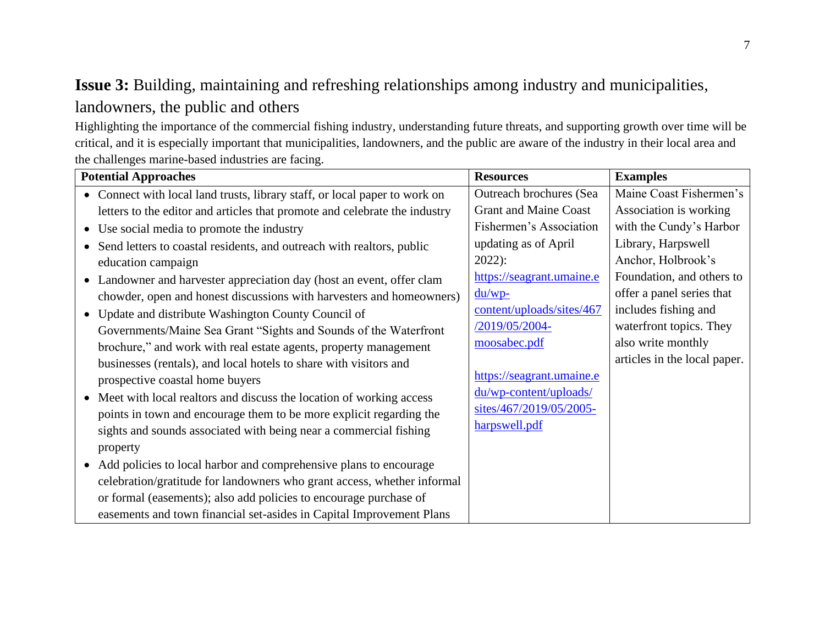# <span id="page-6-0"></span>**Issue 3:** Building, maintaining and refreshing relationships among industry and municipalities, landowners, the public and others

Highlighting the importance of the commercial fishing industry, understanding future threats, and supporting growth over time will be critical, and it is especially important that municipalities, landowners, and the public are aware of the industry in their local area and the challenges marine-based industries are facing.

| <b>Potential Approaches</b>                                                | <b>Resources</b>               | <b>Examples</b>              |
|----------------------------------------------------------------------------|--------------------------------|------------------------------|
| • Connect with local land trusts, library staff, or local paper to work on | <b>Outreach brochures (Sea</b> | Maine Coast Fishermen's      |
| letters to the editor and articles that promote and celebrate the industry | <b>Grant and Maine Coast</b>   | Association is working       |
| Use social media to promote the industry<br>$\bullet$                      | Fishermen's Association        | with the Cundy's Harbor      |
| Send letters to coastal residents, and outreach with realtors, public      | updating as of April           | Library, Harpswell           |
| education campaign                                                         | $2022$ :                       | Anchor, Holbrook's           |
| • Landowner and harvester appreciation day (host an event, offer clam      | https://seagrant.umaine.e      | Foundation, and others to    |
| chowder, open and honest discussions with harvesters and homeowners)       | $du/wp$ -                      | offer a panel series that    |
| Update and distribute Washington County Council of<br>$\bullet$            | content/uploads/sites/467      | includes fishing and         |
| Governments/Maine Sea Grant "Sights and Sounds of the Waterfront           | $/2019/05/2004-$               | waterfront topics. They      |
| brochure," and work with real estate agents, property management           | moosabec.pdf                   | also write monthly           |
| businesses (rentals), and local hotels to share with visitors and          |                                | articles in the local paper. |
| prospective coastal home buyers                                            | https://seagrant.umaine.e      |                              |
| • Meet with local realtors and discuss the location of working access      | du/wp-content/uploads/         |                              |
| points in town and encourage them to be more explicit regarding the        | sites/467/2019/05/2005-        |                              |
| sights and sounds associated with being near a commercial fishing          | harpswell.pdf                  |                              |
| property                                                                   |                                |                              |
| • Add policies to local harbor and comprehensive plans to encourage        |                                |                              |
| celebration/gratitude for landowners who grant access, whether informal    |                                |                              |
| or formal (easements); also add policies to encourage purchase of          |                                |                              |
| easements and town financial set-asides in Capital Improvement Plans       |                                |                              |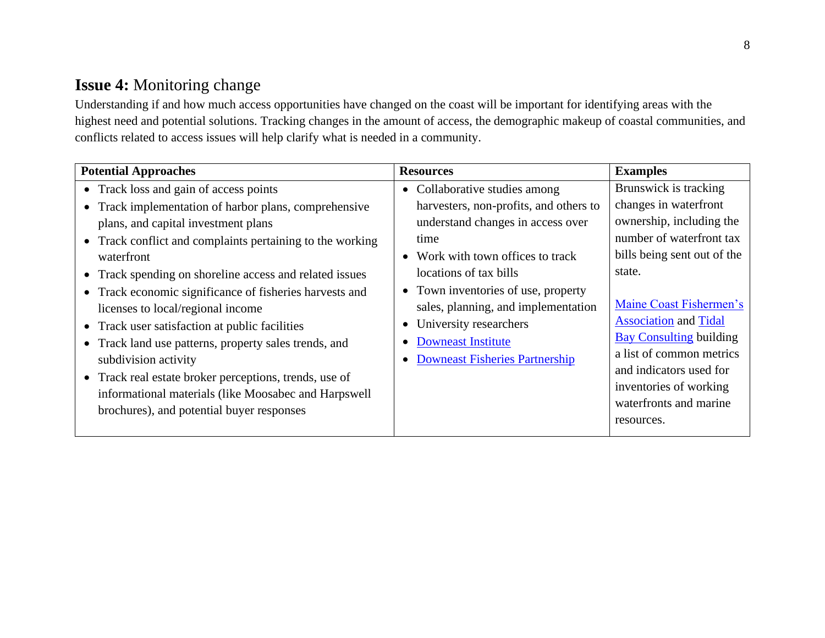## <span id="page-7-0"></span>**Issue 4:** Monitoring change

Understanding if and how much access opportunities have changed on the coast will be important for identifying areas with the highest need and potential solutions. Tracking changes in the amount of access, the demographic makeup of coastal communities, and conflicts related to access issues will help clarify what is needed in a community.

| <b>Potential Approaches</b>                                        | <b>Resources</b>                       | <b>Examples</b>                |
|--------------------------------------------------------------------|----------------------------------------|--------------------------------|
| • Track loss and gain of access points                             | • Collaborative studies among          | Brunswick is tracking          |
| • Track implementation of harbor plans, comprehensive              | harvesters, non-profits, and others to | changes in waterfront          |
| plans, and capital investment plans                                | understand changes in access over      | ownership, including the       |
| • Track conflict and complaints pertaining to the working          | time                                   | number of waterfront tax       |
| waterfront                                                         | • Work with town offices to track      | bills being sent out of the    |
| Track spending on shoreline access and related issues<br>$\bullet$ | locations of tax bills                 | state.                         |
| • Track economic significance of fisheries harvests and            | • Town inventories of use, property    |                                |
| licenses to local/regional income                                  | sales, planning, and implementation    | Maine Coast Fishermen's        |
| • Track user satisfaction at public facilities                     | University researchers<br>٠            | <b>Association</b> and Tidal   |
| • Track land use patterns, property sales trends, and              | <b>Downeast Institute</b>              | <b>Bay Consulting building</b> |
| subdivision activity                                               | <b>Downeast Fisheries Partnership</b>  | a list of common metrics       |
| • Track real estate broker perceptions, trends, use of             |                                        | and indicators used for        |
| informational materials (like Moosabec and Harpswell               |                                        | inventories of working         |
| brochures), and potential buyer responses                          |                                        | waterfronts and marine         |
|                                                                    |                                        | resources.                     |
|                                                                    |                                        |                                |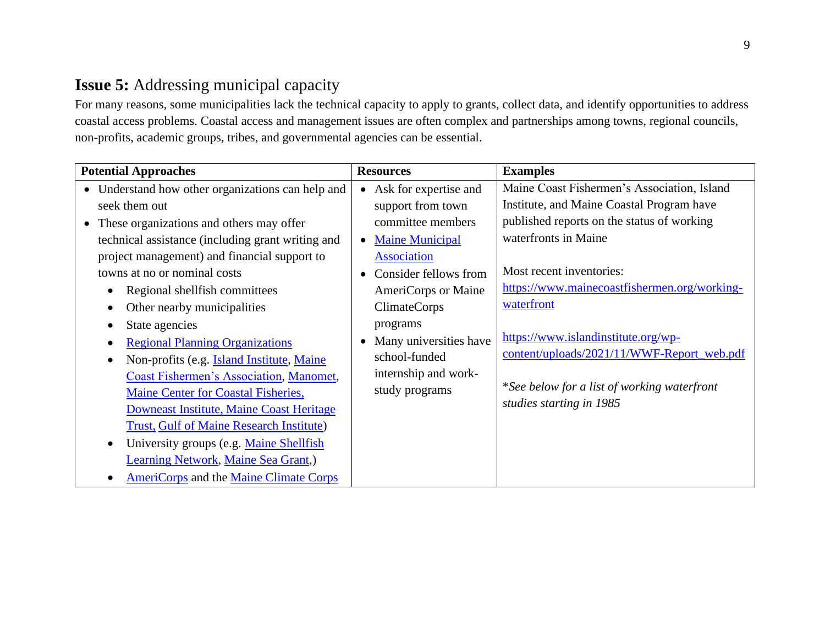## <span id="page-8-0"></span>**Issue 5:** Addressing municipal capacity

For many reasons, some municipalities lack the technical capacity to apply to grants, collect data, and identify opportunities to address coastal access problems. Coastal access and management issues are often complex and partnerships among towns, regional councils, non-profits, academic groups, tribes, and governmental agencies can be essential.

| <b>Potential Approaches</b>                          | <b>Resources</b>                    | <b>Examples</b>                              |
|------------------------------------------------------|-------------------------------------|----------------------------------------------|
| • Understand how other organizations can help and    | Ask for expertise and               | Maine Coast Fishermen's Association, Island  |
| seek them out                                        | support from town                   | Institute, and Maine Coastal Program have    |
| These organizations and others may offer             | committee members                   | published reports on the status of working   |
| technical assistance (including grant writing and    | <b>Maine Municipal</b><br>$\bullet$ | waterfronts in Maine                         |
| project management) and financial support to         | <b>Association</b>                  |                                              |
| towns at no or nominal costs                         | Consider fellows from<br>$\bullet$  | Most recent inventories:                     |
| Regional shellfish committees<br>$\bullet$           | AmeriCorps or Maine                 | https://www.mainecoastfishermen.org/working- |
| Other nearby municipalities                          | <b>ClimateCorps</b>                 | waterfront                                   |
| State agencies                                       | programs                            |                                              |
| <b>Regional Planning Organizations</b>               | Many universities have<br>$\bullet$ | https://www.islandinstitute.org/wp-          |
| Non-profits (e.g. Island Institute, Maine            | school-funded                       | content/uploads/2021/11/WWF-Report_web.pdf   |
| <b>Coast Fishermen's Association, Manomet,</b>       | internship and work-                |                                              |
| <b>Maine Center for Coastal Fisheries,</b>           | study programs                      | *See below for a list of working waterfront  |
| Downeast Institute, Maine Coast Heritage             |                                     | studies starting in 1985                     |
| <b>Trust, Gulf of Maine Research Institute)</b>      |                                     |                                              |
| University groups (e.g. Maine Shellfish<br>$\bullet$ |                                     |                                              |
| Learning Network, Maine Sea Grant,)                  |                                     |                                              |
| <b>AmeriCorps and the Maine Climate Corps</b>        |                                     |                                              |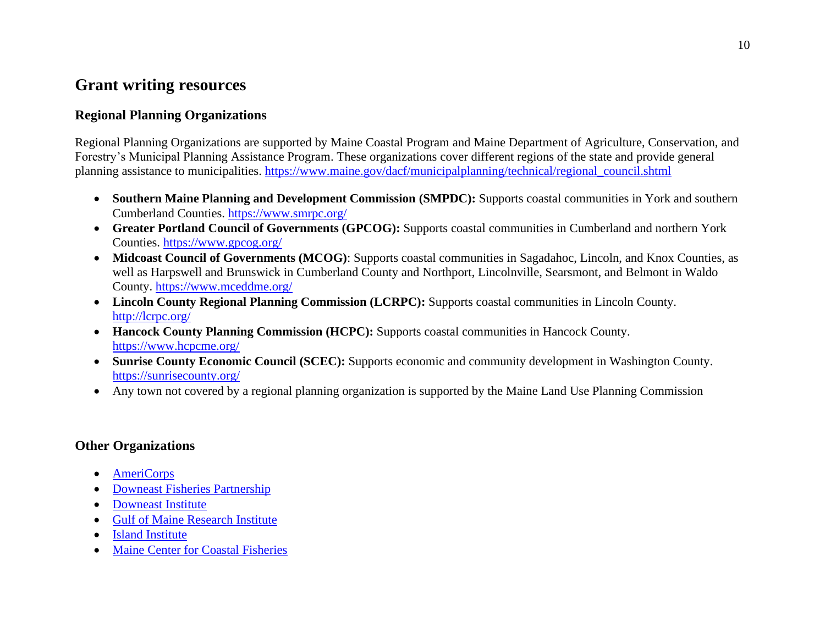#### <span id="page-9-0"></span>**Grant writing resources**

#### <span id="page-9-1"></span>**Regional Planning Organizations**

Regional Planning Organizations are supported by Maine Coastal Program and Maine Department of Agriculture, Conservation, and Forestry's Municipal Planning Assistance Program. These organizations cover different regions of the state and provide general planning assistance to municipalities. [https://www.maine.gov/dacf/municipalplanning/technical/regional\\_council.shtml](https://www.maine.gov/dacf/municipalplanning/technical/regional_council.shtml)

- **Southern Maine Planning and Development Commission (SMPDC):** Supports coastal communities in York and southern Cumberland Counties. <https://www.smrpc.org/>
- **Greater Portland Council of Governments (GPCOG):** Supports coastal communities in Cumberland and northern York Counties. <https://www.gpcog.org/>
- **Midcoast Council of Governments (MCOG)**: Supports coastal communities in Sagadahoc, Lincoln, and Knox Counties, as well as Harpswell and Brunswick in Cumberland County and Northport, Lincolnville, Searsmont, and Belmont in Waldo County. <https://www.mceddme.org/>
- **Lincoln County Regional Planning Commission (LCRPC):** Supports coastal communities in Lincoln County. <http://lcrpc.org/>
- **Hancock County Planning Commission (HCPC):** Supports coastal communities in Hancock County. <https://www.hcpcme.org/>
- **Sunrise County Economic Council (SCEC):** Supports economic and community development in Washington County. <https://sunrisecounty.org/>
- Any town not covered by a regional planning organization is supported by the Maine Land Use Planning Commission

#### <span id="page-9-2"></span>**Other Organizations**

- [AmeriCorps](http://www.volunteermaine.gov/serve-in-maine/americorps)
- [Downeast Fisheries Partnership](https://downeastfisheries.org/)
- [Downeast Institute](https://downeastinstitute.org/)
- [Gulf of Maine Research Institute](https://www.gmri.org/)
- [Island Institute](https://www.islandinstitute.org/)
- [Maine Center for Coastal Fisheries](https://coastalfisheries.org/)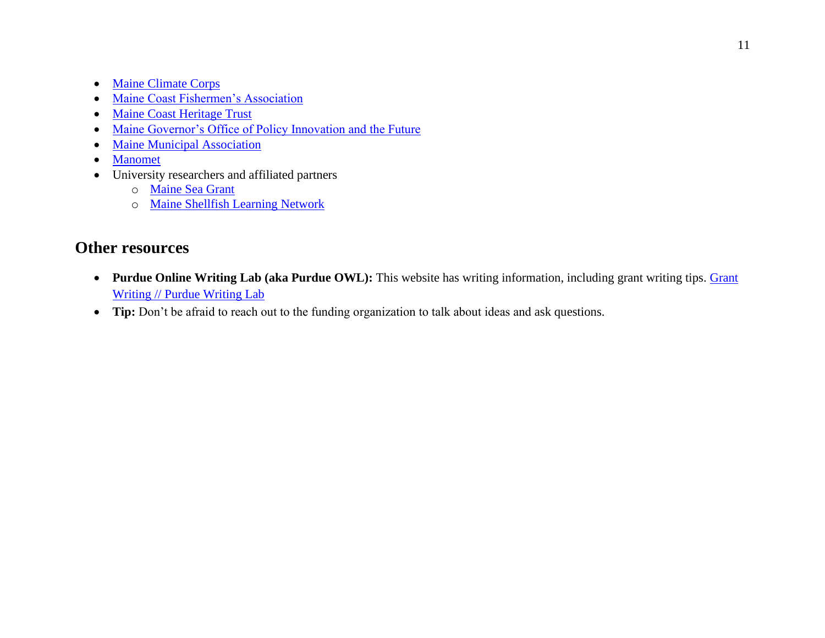- [Maine Climate Corps](http://www.volunteermaine.gov/serve-in-maine/climate-corps)
- [Maine Coast Fishermen's Association](https://www.mainecoastfishermen.org/working-waterfront)
- [Maine Coast Heritage Trust](https://www.mcht.org/)
- [Maine Governor's Office of Policy Innovation and the Future](https://www.maine.gov/future/home)
- [Maine Municipal Association](https://memun.org/)
- [Manomet](https://www.manomet.org/work/where-we-work/)
- University researchers and affiliated partners
	- o [Maine Sea Grant](https://seagrant.umaine.edu/)
	- o [Maine Shellfish Learning Network](https://umaine.edu/shellfish-restoration/)

#### <span id="page-10-0"></span>**Other resources**

- **Purdue Online Writing Lab (aka Purdue OWL):** This website has writing information, including grant writing tips. [Grant](https://owl.purdue.edu/owl/subject_specific_writing/professional_technical_writing/grant_writing/index.html)  [Writing // Purdue Writing Lab](https://owl.purdue.edu/owl/subject_specific_writing/professional_technical_writing/grant_writing/index.html)
- **Tip:** Don't be afraid to reach out to the funding organization to talk about ideas and ask questions.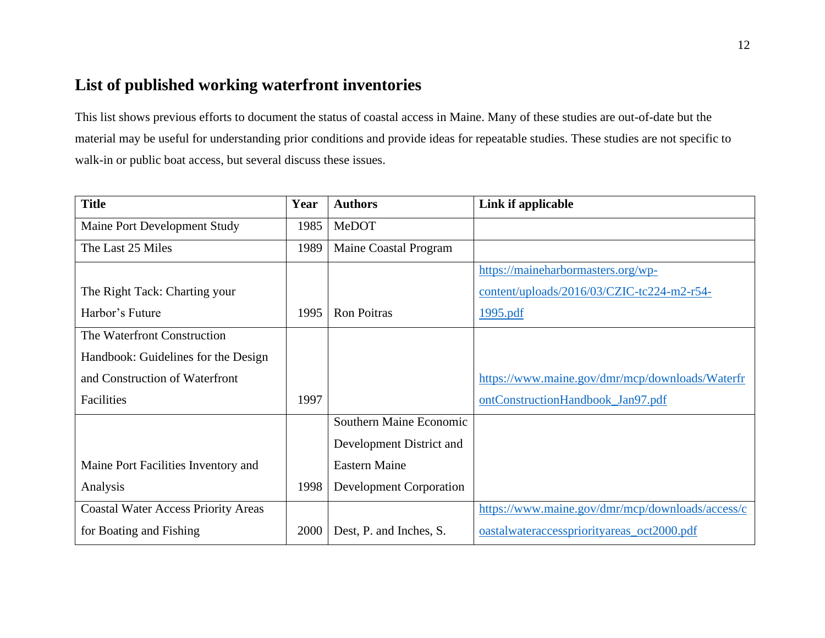## <span id="page-11-0"></span>**List of published working waterfront inventories**

This list shows previous efforts to document the status of coastal access in Maine. Many of these studies are out-of-date but the material may be useful for understanding prior conditions and provide ideas for repeatable studies. These studies are not specific to walk-in or public boat access, but several discuss these issues.

| <b>Title</b>                               | Year | <b>Authors</b>                 | Link if applicable                               |
|--------------------------------------------|------|--------------------------------|--------------------------------------------------|
| Maine Port Development Study               | 1985 | MeDOT                          |                                                  |
| The Last 25 Miles                          | 1989 | Maine Coastal Program          |                                                  |
|                                            |      |                                | https://maineharbormasters.org/wp-               |
| The Right Tack: Charting your              |      |                                | content/uploads/2016/03/CZIC-tc224-m2-r54-       |
| Harbor's Future                            | 1995 | <b>Ron Poitras</b>             | 1995.pdf                                         |
| The Waterfront Construction                |      |                                |                                                  |
| Handbook: Guidelines for the Design        |      |                                |                                                  |
| and Construction of Waterfront             |      |                                | https://www.maine.gov/dmr/mcp/downloads/Waterfr  |
| Facilities                                 | 1997 |                                | ontConstructionHandbook_Jan97.pdf                |
|                                            |      | Southern Maine Economic        |                                                  |
|                                            |      | Development District and       |                                                  |
| Maine Port Facilities Inventory and        |      | <b>Eastern Maine</b>           |                                                  |
| Analysis                                   | 1998 | <b>Development Corporation</b> |                                                  |
| <b>Coastal Water Access Priority Areas</b> |      |                                | https://www.maine.gov/dmr/mcp/downloads/access/c |
| for Boating and Fishing                    | 2000 | Dest, P. and Inches, S.        | oastalwateraccesspriorityareas_oct2000.pdf       |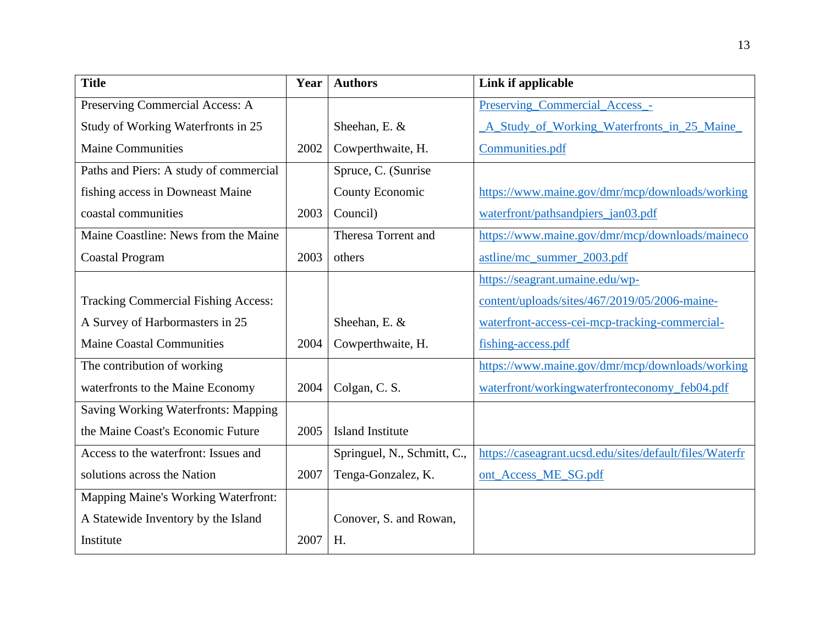| <b>Title</b>                               | Year | <b>Authors</b>              | Link if applicable                                      |
|--------------------------------------------|------|-----------------------------|---------------------------------------------------------|
| Preserving Commercial Access: A            |      |                             | Preserving Commercial Access -                          |
| Study of Working Waterfronts in 25         |      | Sheehan, E. &               | A Study of Working Waterfronts in 25 Maine              |
| <b>Maine Communities</b>                   | 2002 | Cowperthwaite, H.           | Communities.pdf                                         |
| Paths and Piers: A study of commercial     |      | Spruce, C. (Sunrise         |                                                         |
| fishing access in Downeast Maine           |      | County Economic             | https://www.maine.gov/dmr/mcp/downloads/working         |
| coastal communities                        | 2003 | Council)                    | waterfront/pathsandpiers_jan03.pdf                      |
| Maine Coastline: News from the Maine       |      | Theresa Torrent and         | https://www.maine.gov/dmr/mcp/downloads/maineco         |
| <b>Coastal Program</b>                     | 2003 | others                      | astline/mc_summer_2003.pdf                              |
|                                            |      |                             | https://seagrant.umaine.edu/wp-                         |
| <b>Tracking Commercial Fishing Access:</b> |      |                             | content/uploads/sites/467/2019/05/2006-maine-           |
| A Survey of Harbormasters in 25            |      | Sheehan, E. &               | waterfront-access-cei-mcp-tracking-commercial-          |
| <b>Maine Coastal Communities</b>           | 2004 | Cowperthwaite, H.           | fishing-access.pdf                                      |
| The contribution of working                |      |                             | https://www.maine.gov/dmr/mcp/downloads/working         |
| waterfronts to the Maine Economy           | 2004 | Colgan, C. S.               | waterfront/workingwaterfronteconomy_feb04.pdf           |
| Saving Working Waterfronts: Mapping        |      |                             |                                                         |
| the Maine Coast's Economic Future          | 2005 | <b>Island Institute</b>     |                                                         |
| Access to the waterfront: Issues and       |      | Springuel, N., Schmitt, C., | https://caseagrant.ucsd.edu/sites/default/files/Waterfr |
| solutions across the Nation                | 2007 | Tenga-Gonzalez, K.          | ont Access ME SG.pdf                                    |
| Mapping Maine's Working Waterfront:        |      |                             |                                                         |
| A Statewide Inventory by the Island        |      | Conover, S. and Rowan,      |                                                         |
| Institute                                  | 2007 | H.                          |                                                         |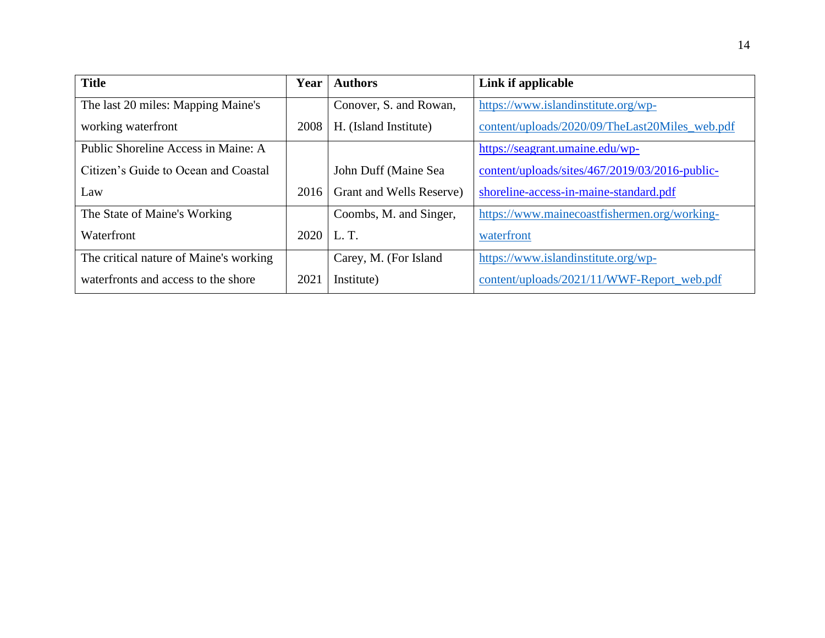| <b>Title</b>                           | Year | <b>Authors</b>           | Link if applicable                             |
|----------------------------------------|------|--------------------------|------------------------------------------------|
| The last 20 miles: Mapping Maine's     |      | Conover, S. and Rowan,   | https://www.islandinstitute.org/wp-            |
| working waterfront                     | 2008 | H. (Island Institute)    | content/uploads/2020/09/TheLast20Miles_web.pdf |
| Public Shoreline Access in Maine: A    |      |                          | https://seagrant.umaine.edu/wp-                |
| Citizen's Guide to Ocean and Coastal   |      | John Duff (Maine Sea     | content/uploads/sites/467/2019/03/2016-public- |
| Law                                    | 2016 | Grant and Wells Reserve) | shoreline-access-in-maine-standard.pdf         |
| The State of Maine's Working           |      | Coombs, M. and Singer,   | https://www.mainecoastfishermen.org/working-   |
| Waterfront                             | 2020 | L.T.                     | waterfront                                     |
| The critical nature of Maine's working |      | Carey, M. (For Island    | https://www.islandinstitute.org/wp-            |
| waterfronts and access to the shore    | 2021 | Institute)               | content/uploads/2021/11/WWF-Report_web.pdf     |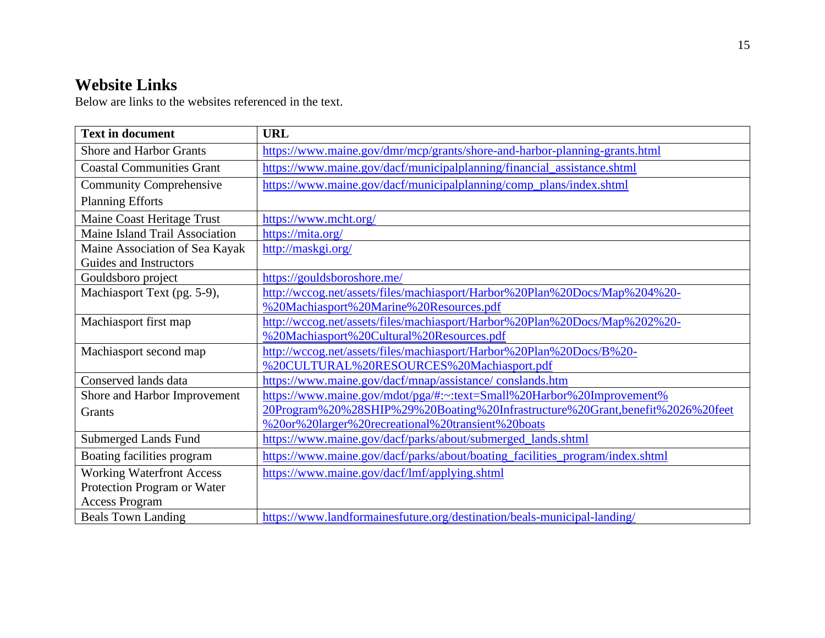## <span id="page-14-0"></span>**Website Links**

Below are links to the websites referenced in the text.

| <b>Text in document</b>          | <b>URL</b>                                                                    |
|----------------------------------|-------------------------------------------------------------------------------|
| <b>Shore and Harbor Grants</b>   | https://www.maine.gov/dmr/mcp/grants/shore-and-harbor-planning-grants.html    |
| <b>Coastal Communities Grant</b> | https://www.maine.gov/dacf/municipalplanning/financial_assistance.shtml       |
| <b>Community Comprehensive</b>   | https://www.maine.gov/dacf/municipalplanning/comp_plans/index.shtml           |
| <b>Planning Efforts</b>          |                                                                               |
| Maine Coast Heritage Trust       | https://www.mcht.org/                                                         |
| Maine Island Trail Association   | https://mita.org/                                                             |
| Maine Association of Sea Kayak   | http://maskgi.org/                                                            |
| Guides and Instructors           |                                                                               |
| Gouldsboro project               | https://gouldsboroshore.me/                                                   |
| Machiasport Text (pg. 5-9),      | http://wccog.net/assets/files/machiasport/Harbor%20Plan%20Docs/Map%204%20-    |
|                                  | %20Machiasport%20Marine%20Resources.pdf                                       |
| Machiasport first map            | http://wccog.net/assets/files/machiasport/Harbor%20Plan%20Docs/Map%202%20-    |
|                                  | %20Machiasport%20Cultural%20Resources.pdf                                     |
| Machiasport second map           | http://wccog.net/assets/files/machiasport/Harbor%20Plan%20Docs/B%20-          |
|                                  | %20CULTURAL%20RESOURCES%20Machiasport.pdf                                     |
| Conserved lands data             | https://www.maine.gov/dacf/mnap/assistance/conslands.htm                      |
| Shore and Harbor Improvement     | https://www.maine.gov/mdot/pga/#:~:text=Small%20Harbor%20Improvement%         |
| Grants                           | 20Program%20%28SHIP%29%20Boating%20Infrastructure%20Grant,benefit%2026%20feet |
|                                  | %20or%20larger%20recreational%20transient%20boats                             |
| <b>Submerged Lands Fund</b>      | https://www.maine.gov/dacf/parks/about/submerged_lands.shtml                  |
| Boating facilities program       | https://www.maine.gov/dacf/parks/about/boating_facilities_program/index.shtml |
| <b>Working Waterfront Access</b> | https://www.maine.gov/dacf/lmf/applying.shtml                                 |
| Protection Program or Water      |                                                                               |
| <b>Access Program</b>            |                                                                               |
| <b>Beals Town Landing</b>        | https://www.landformainesfuture.org/destination/beals-municipal-landing/      |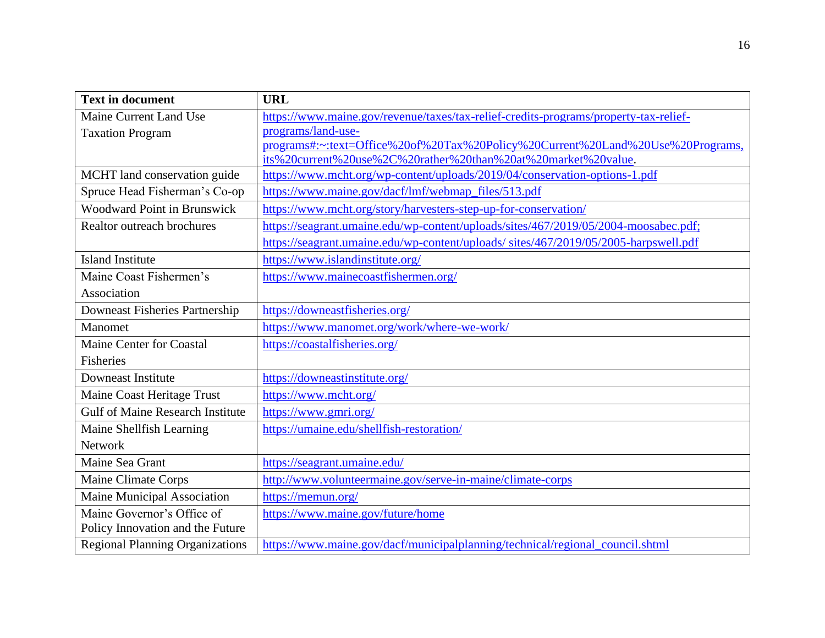| <b>Text in document</b>                 | <b>URL</b>                                                                           |
|-----------------------------------------|--------------------------------------------------------------------------------------|
| Maine Current Land Use                  | https://www.maine.gov/revenue/taxes/tax-relief-credits-programs/property-tax-relief- |
| <b>Taxation Program</b>                 | programs/land-use-                                                                   |
|                                         | programs#:~:text=Office%20of%20Tax%20Policy%20Current%20Land%20Use%20Programs,       |
|                                         | its%20current%20use%2C%20rather%20than%20at%20market%20value.                        |
| MCHT land conservation guide            | https://www.mcht.org/wp-content/uploads/2019/04/conservation-options-1.pdf           |
| Spruce Head Fisherman's Co-op           | https://www.maine.gov/dacf/lmf/webmap_files/513.pdf                                  |
| <b>Woodward Point in Brunswick</b>      | https://www.mcht.org/story/harvesters-step-up-for-conservation/                      |
| Realtor outreach brochures              | https://seagrant.umaine.edu/wp-content/uploads/sites/467/2019/05/2004-moosabec.pdf;  |
|                                         | https://seagrant.umaine.edu/wp-content/uploads/ sites/467/2019/05/2005-harpswell.pdf |
| <b>Island Institute</b>                 | https://www.islandinstitute.org/                                                     |
| Maine Coast Fishermen's                 | https://www.mainecoastfishermen.org/                                                 |
| Association                             |                                                                                      |
| <b>Downeast Fisheries Partnership</b>   | https://downeastfisheries.org/                                                       |
| Manomet                                 | https://www.manomet.org/work/where-we-work/                                          |
| <b>Maine Center for Coastal</b>         | https://coastalfisheries.org/                                                        |
| Fisheries                               |                                                                                      |
| <b>Downeast Institute</b>               | https://downeastinstitute.org/                                                       |
| Maine Coast Heritage Trust              | https://www.mcht.org/                                                                |
| <b>Gulf of Maine Research Institute</b> | https://www.gmri.org/                                                                |
| Maine Shellfish Learning                | https://umaine.edu/shellfish-restoration/                                            |
| <b>Network</b>                          |                                                                                      |
| Maine Sea Grant                         | https://seagrant.umaine.edu/                                                         |
| Maine Climate Corps                     | http://www.volunteermaine.gov/serve-in-maine/climate-corps                           |
| Maine Municipal Association             | https://memun.org/                                                                   |
| Maine Governor's Office of              | https://www.maine.gov/future/home                                                    |
| Policy Innovation and the Future        |                                                                                      |
| <b>Regional Planning Organizations</b>  | https://www.maine.gov/dacf/municipalplanning/technical/regional_council.shtml        |